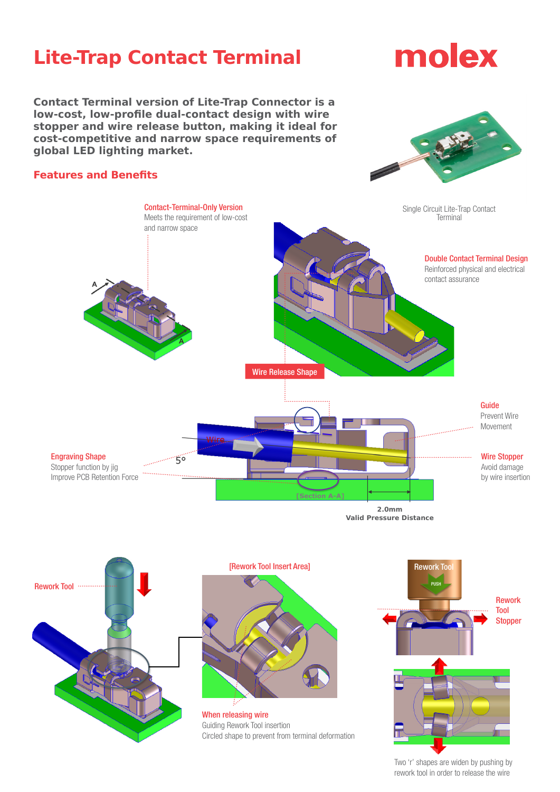## **Lite-Trap Contact Terminal**

# molex

**Contact Terminal version of Lite-Trap Connector is a low-cost, low-profile dual-contact design with wire stopper and wire release button, making it ideal for cost-competitive and narrow space requirements of global LED lighting market.**



#### **Features and Benefits**



**2.0mm Valid Pressure Distance**



[Rework Tool Insert Area]

When releasing wire Guiding Rework Tool insertion Circled shape to prevent from terminal deformation



Two 'r' shapes are widen by pushing by rework tool in order to release the wire